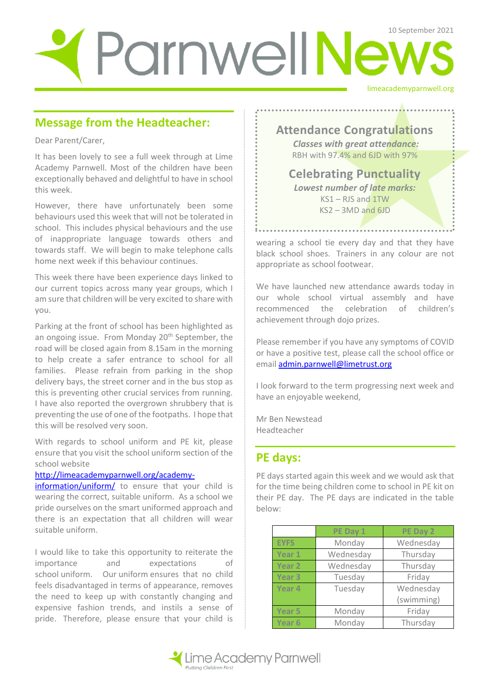# limeacademyparnwell.org Parnwell News

# **Message from the Headteacher:**

Dear Parent/Carer,

It has been lovely to see a full week through at Lime Academy Parnwell. Most of the children have been exceptionally behaved and delightful to have in school this week.

However, there have unfortunately been some behaviours used this week that will not be tolerated in school. This includes physical behaviours and the use of inappropriate language towards others and towards staff. We will begin to make telephone calls home next week if this behaviour continues.

This week there have been experience days linked to our current topics across many year groups, which I am sure that children will be very excited to share with you.

Parking at the front of school has been highlighted as an ongoing issue. From Monday 20<sup>th</sup> September, the road will be closed again from 8.15am in the morning to help create a safer entrance to school for all families. Please refrain from parking in the shop delivery bays, the street corner and in the bus stop as this is preventing other crucial services from running. I have also reported the overgrown shrubbery that is preventing the use of one of the footpaths. I hope that this will be resolved very soon.

With regards to school uniform and PE kit, please ensure that you visit the school uniform section of the school website

#### [http://limeacademyparnwell.org/academy-](http://limeacademyparnwell.org/academy-information/uniform/)

[information/uniform/](http://limeacademyparnwell.org/academy-information/uniform/) to ensure that your child is wearing the correct, suitable uniform. As a school we pride ourselves on the smart uniformed approach and there is an expectation that all children will wear suitable uniform.

I would like to take this opportunity to reiterate the importance and expectations of school uniform. Our uniform ensures that no child feels disadvantaged in terms of appearance, removes the need to keep up with constantly changing and expensive fashion trends, and instils a sense of pride. Therefore, please ensure that your child is **Attendance Congratulations**

*Classes with great attendance:* RBH with 97.4% and 6JD with 97%

**Celebrating Punctuality**  *Lowest number of late marks:*  KS1 – RJS and 1TW KS2 – 3MD and 6JD

wearing a school tie every day and that they have black school shoes. Trainers in any colour are not appropriate as school footwear.

We have launched new attendance awards today in our whole school virtual assembly and have recommenced the celebration of children's achievement through dojo prizes.

Please remember if you have any symptoms of COVID or have a positive test, please call the school office or email **admin.parnwell@limetrust.org** 

I look forward to the term progressing next week and have an enjoyable weekend,

Mr Ben Newstead Headteacher

# **PE days:**

PE days started again this week and we would ask that for the time being children come to school in PE kit on their PE day. The PE days are indicated in the table below:

|                   | PE Day 1  | PE Day 2   |
|-------------------|-----------|------------|
| <b>EYFS</b>       | Monday    | Wednesday  |
| Year 1            | Wednesday | Thursday   |
| Year <sub>2</sub> | Wednesday | Thursday   |
| Year <sub>3</sub> | Tuesday   | Friday     |
| Year 4            | Tuesday   | Wednesday  |
|                   |           | (swimming) |
| Year <sub>5</sub> | Monday    | Friday     |
| Year <sub>6</sub> | Monday    | Thursday   |

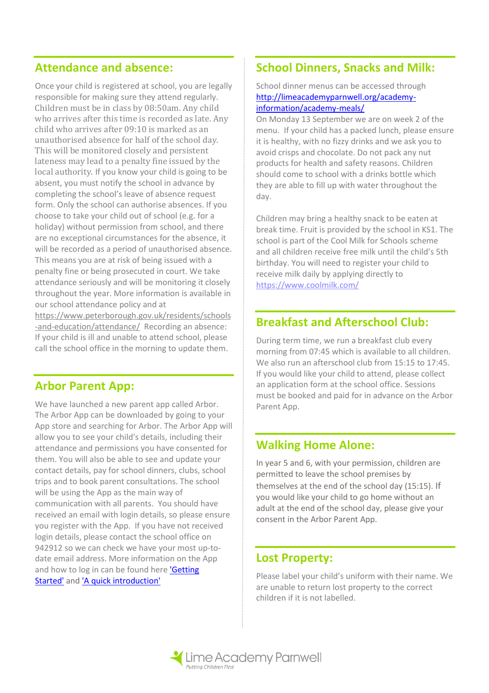## **Attendance and absence:**

Once your child is registered at school, you are legally responsible for making sure they attend regularly. Children must be in class by 08:50am. Any child who arrives after this time is recorded as late. Any child who arrives after 09:10 is marked as an unauthorised absence for half of the school day. This will be monitored closely and persistent lateness may lead to a penalty fine issued by the local authority. If you know your child is going to be absent, you must notify the school in advance by completing the school's leave of absence request form. Only the school can authorise absences. If you choose to take your child out of school (e.g. for a holiday) without permission from school, and there are no exceptional circumstances for the absence, it will be recorded as a period of unauthorised absence. This means you are at risk of being issued with a penalty fine or being prosecuted in court. We take attendance seriously and will be monitoring it closely throughout the year. More information is available in our school attendance policy and at [https://www.peterborough.gov.uk/residents/schools](https://www.peterborough.gov.uk/residents/schools-and-education/attendance/)

[-and-education/attendance/](https://www.peterborough.gov.uk/residents/schools-and-education/attendance/) Recording an absence: If your child is ill and unable to attend school, please call the school office in the morning to update them.

# **Arbor Parent App:**

We have launched a new parent app called Arbor. The Arbor App can be downloaded by going to your App store and searching for Arbor. The Arbor App will allow you to see your child's details, including their attendance and permissions you have consented for them. You will also be able to see and update your contact details, pay for school dinners, clubs, school trips and to book parent consultations. The school will be using the App as the main way of communication with all parents. You should have received an email with login details, so please ensure you register with the App. If you have not received login details, please contact the school office on 942912 so we can check we have your most up-todate email address. More information on the App and how to log in can be found here ['Getting](https://support.arbor-education.com/hc/en-us/articles/360020147458-Getting-started-Log-into-the-Parent-Portal-and-the-Arbor-App) [Started'](https://support.arbor-education.com/hc/en-us/articles/360020147458-Getting-started-Log-into-the-Parent-Portal-and-the-Arbor-App) and 'A quick [introduction'](https://support.arbor-education.com/hc/en-us/articles/212097029-A-quick-introduction-to-Arbor-for-guardians-and-parents)

## **School Dinners, Snacks and Milk:**

#### School dinner menus can be accessed through [http://limeacademyparnwell.org/academy](http://limeacademyparnwell.org/academy-information/academy-meals/)[information/academy-meals/](http://limeacademyparnwell.org/academy-information/academy-meals/)

On Monday 13 September we are on week 2 of the menu. If your child has a packed lunch, please ensure it is healthy, with no fizzy drinks and we ask you to avoid crisps and chocolate. Do not pack any nut products for health and safety reasons. Children should come to school with a drinks bottle which they are able to fill up with water throughout the day.

Children may bring a healthy snack to be eaten at break time. Fruit is provided by the school in KS1. The school is part of the Cool Milk for Schools scheme and all children receive free milk until the child's 5th birthday. You will need to register your child to receive milk daily by applying directly to <https://www.coolmilk.com/>

# **Breakfast and Afterschool Club:**

During term time, we run a breakfast club every morning from 07:45 which is available to all children. We also run an afterschool club from 15:15 to 17:45. If you would like your child to attend, please collect an application form at the school office. Sessions must be booked and paid for in advance on the Arbor Parent App.

# **Walking Home Alone:**

In year 5 and 6, with your permission, children are permitted to leave the school premises by themselves at the end of the school day (15:15). If you would like your child to go home without an adult at the end of the school day, please give your consent in the Arbor Parent App.

# **Lost Property:**

Please label your child's uniform with their name. We are unable to return lost property to the correct children if it is not labelled.